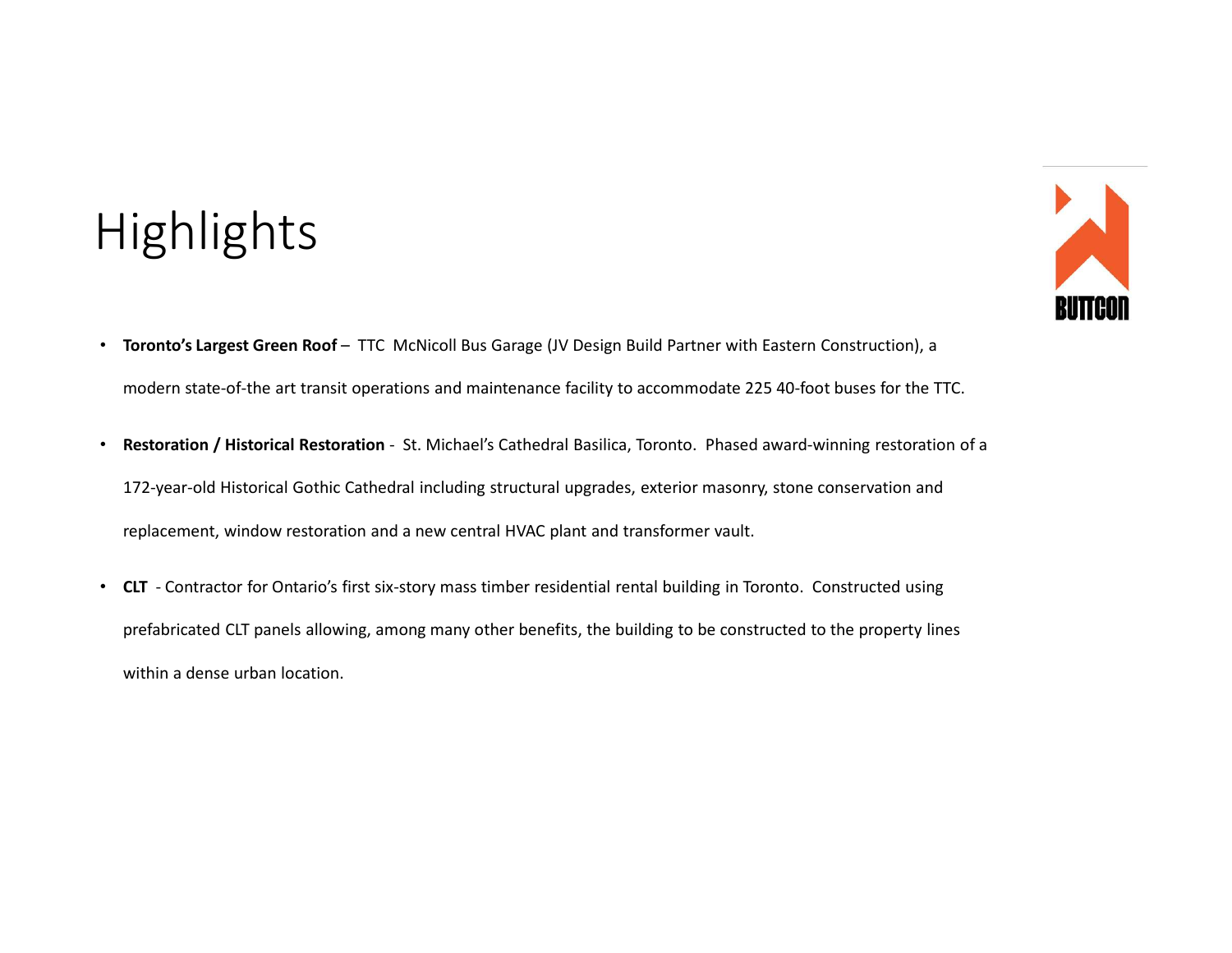## **Highlights**



- Toronto's Largest Green Roof TTC McNicoll Bus Garage (JV Design Build Partner with Eastern Construction), a<br>• modern state-of-the art transit operations and maintenance facility to accommodate 225.40-foot buses for th modern state-of-the art transit operations and maintenance facility to accommodate 225 40-foot buses for the TTC.
- Restoration / Historical Restoration St. Michael's Cathedral Basilica, Toronto. Phased award-winning restoration , a<br>Product Restoration / Historical Restoration St. Michael's Cathedral Basilica, Toronto. Phased awar 172-year-old Historical Gothic Cathedral including structural upgrades, exterior masonry, stone conservation and replacement, window restoration and a new central HVAC plant and transformer vault. • Contractor for Ontario's first six-story mass timber residential rental building in Toronto's Largest Green Roof – TTC McNicoll Bus Garage (IV Design Build Partner with Eastern Construction), a<br>modern state-of-the art tr
- prefabricated CLT panels allowing, among many other benefits, the building to be constructed to the property lines within a dense urban location.